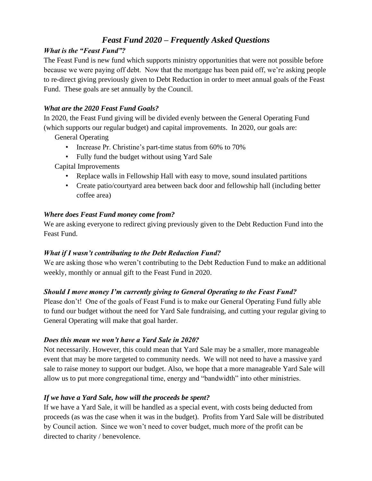# *Feast Fund 2020 – Frequently Asked Questions*

# *What is the "Feast Fund"?*

The Feast Fund is new fund which supports ministry opportunities that were not possible before because we were paying off debt. Now that the mortgage has been paid off, we're asking people to re-direct giving previously given to Debt Reduction in order to meet annual goals of the Feast Fund. These goals are set annually by the Council.

# *What are the 2020 Feast Fund Goals?*

In 2020, the Feast Fund giving will be divided evenly between the General Operating Fund (which supports our regular budget) and capital improvements. In 2020, our goals are:

General Operating

- Increase Pr. Christine's part-time status from 60% to 70%
- Fully fund the budget without using Yard Sale

Capital Improvements

- Replace walls in Fellowship Hall with easy to move, sound insulated partitions
- Create patio/courtyard area between back door and fellowship hall (including better coffee area)

# *Where does Feast Fund money come from?*

We are asking everyone to redirect giving previously given to the Debt Reduction Fund into the Feast Fund.

# *What if I wasn't contributing to the Debt Reduction Fund?*

We are asking those who weren't contributing to the Debt Reduction Fund to make an additional weekly, monthly or annual gift to the Feast Fund in 2020.

# *Should I move money I'm currently giving to General Operating to the Feast Fund?*

Please don't! One of the goals of Feast Fund is to make our General Operating Fund fully able to fund our budget without the need for Yard Sale fundraising, and cutting your regular giving to General Operating will make that goal harder.

# *Does this mean we won't have a Yard Sale in 2020?*

Not necessarily. However, this could mean that Yard Sale may be a smaller, more manageable event that may be more targeted to community needs. We will not need to have a massive yard sale to raise money to support our budget. Also, we hope that a more manageable Yard Sale will allow us to put more congregational time, energy and "bandwidth" into other ministries.

# *If we have a Yard Sale, how will the proceeds be spent?*

If we have a Yard Sale, it will be handled as a special event, with costs being deducted from proceeds (as was the case when it was in the budget). Profits from Yard Sale will be distributed by Council action. Since we won't need to cover budget, much more of the profit can be directed to charity / benevolence.